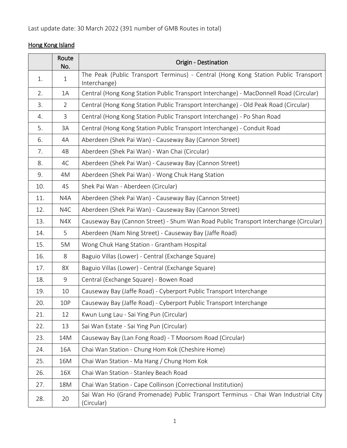## Hong Kong Island

|     | Route<br>No.     | Origin - Destination                                                                               |
|-----|------------------|----------------------------------------------------------------------------------------------------|
| 1.  | $\mathbf{1}$     | The Peak (Public Transport Terminus) - Central (Hong Kong Station Public Transport<br>Interchange) |
| 2.  | 1A               | Central (Hong Kong Station Public Transport Interchange) - MacDonnell Road (Circular)              |
| 3.  | $\overline{2}$   | Central (Hong Kong Station Public Transport Interchange) - Old Peak Road (Circular)                |
| 4.  | $\mathsf{3}$     | Central (Hong Kong Station Public Transport Interchange) - Po Shan Road                            |
| 5.  | 3A               | Central (Hong Kong Station Public Transport Interchange) - Conduit Road                            |
| 6.  | 4A               | Aberdeen (Shek Pai Wan) - Causeway Bay (Cannon Street)                                             |
| 7.  | 4B               | Aberdeen (Shek Pai Wan) - Wan Chai (Circular)                                                      |
| 8.  | 4C               | Aberdeen (Shek Pai Wan) - Causeway Bay (Cannon Street)                                             |
| 9.  | 4M               | Aberdeen (Shek Pai Wan) - Wong Chuk Hang Station                                                   |
| 10. | 4S               | Shek Pai Wan - Aberdeen (Circular)                                                                 |
| 11. | N4A              | Aberdeen (Shek Pai Wan) - Causeway Bay (Cannon Street)                                             |
| 12. | N <sub>4</sub> C | Aberdeen (Shek Pai Wan) - Causeway Bay (Cannon Street)                                             |
| 13. | N4X              | Causeway Bay (Cannon Street) - Shum Wan Road Public Transport Interchange (Circular)               |
| 14. | 5                | Aberdeen (Nam Ning Street) - Causeway Bay (Jaffe Road)                                             |
| 15. | 5M               | Wong Chuk Hang Station - Grantham Hospital                                                         |
| 16. | 8                | Baguio Villas (Lower) - Central (Exchange Square)                                                  |
| 17. | 8X               | Baguio Villas (Lower) - Central (Exchange Square)                                                  |
| 18. | 9                | Central (Exchange Square) - Bowen Road                                                             |
| 19. | 10               | Causeway Bay (Jaffe Road) - Cyberport Public Transport Interchange                                 |
| 20. | 10P              | Causeway Bay (Jaffe Road) - Cyberport Public Transport Interchange                                 |
| 21. | 12               | Kwun Lung Lau - Sai Ying Pun (Circular)                                                            |
| 22. | 13               | Sai Wan Estate - Sai Ying Pun (Circular)                                                           |
| 23. | 14M              | Causeway Bay (Lan Fong Road) - T Moorsom Road (Circular)                                           |
| 24. | 16A              | Chai Wan Station - Chung Hom Kok (Cheshire Home)                                                   |
| 25. | 16M              | Chai Wan Station - Ma Hang / Chung Hom Kok                                                         |
| 26. | 16X              | Chai Wan Station - Stanley Beach Road                                                              |
| 27. | 18M              | Chai Wan Station - Cape Collinson (Correctional Institution)                                       |
| 28. | 20               | Sai Wan Ho (Grand Promenade) Public Transport Terminus - Chai Wan Industrial City<br>(Circular)    |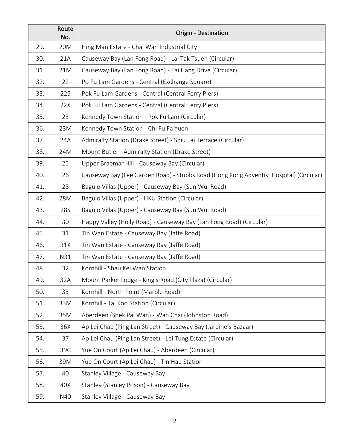|     | Route<br>No. | Origin - Destination                                                                   |
|-----|--------------|----------------------------------------------------------------------------------------|
| 29. | 20M          | Hing Man Estate - Chai Wan Industrial City                                             |
| 30. | 21A          | Causeway Bay (Lan Fong Road) - Lai Tak Tsuen (Circular)                                |
| 31. | 21M          | Causeway Bay (Lan Fong Road) - Tai Hang Drive (Circular)                               |
| 32. | 22           | Po Fu Lam Gardens - Central (Exchange Square)                                          |
| 33. | 22S          | Pok Fu Lam Gardens - Central (Central Ferry Piers)                                     |
| 34. | 22X          | Pok Fu Lam Gardens - Central (Central Ferry Piers)                                     |
| 35. | 23           | Kennedy Town Station - Pok Fu Lam (Circular)                                           |
| 36. | 23M          | Kennedy Town Station - Chi Fu Fa Yuen                                                  |
| 37. | 24A          | Admiralty Station (Drake Street) - Shiu Fai Terrace (Circular)                         |
| 38. | 24M          | Mount Butler - Admiralty Station (Drake Street)                                        |
| 39. | 25           | Upper Braemar Hill - Causeway Bay (Circular)                                           |
| 40. | 26           | Causeway Bay (Lee Garden Road) - Stubbs Road (Hong Kong Adventist Hospital) (Circular) |
| 41. | 28           | Baguio Villas (Upper) - Causeway Bay (Sun Wui Road)                                    |
| 42. | 28M          | Baguio Villas (Upper) - HKU Station (Circular)                                         |
| 43. | 28S          | Baguio Villas (Upper) - Causeway Bay (Sun Wui Road)                                    |
| 44. | 30           | Happy Valley (Holly Road) - Causeway Bay (Lan Fong Road) (Circular)                    |
| 45. | 31           | Tin Wan Estate - Causeway Bay (Jaffe Road)                                             |
| 46. | 31X          | Tin Wan Estate - Causeway Bay (Jaffe Road)                                             |
| 47. | N31          | Tin Wan Estate - Causeway Bay (Jaffe Road)                                             |
| 48. | 32           | Kornhill - Shau Kei Wan Station                                                        |
| 49. | 32A          | Mount Parker Lodge - King's Road (City Plaza) (Circular)                               |
| 50. | 33           | Kornhill - North Point (Marble Road)                                                   |
| 51. | 33M          | Kornhill - Tai Koo Station (Circular)                                                  |
| 52. | 35M          | Aberdeen (Shek Pai Wan) - Wan Chai (Johnston Road)                                     |
| 53. | 36X          | Ap Lei Chau (Ping Lan Street) - Causeway Bay (Jardine's Bazaar)                        |
| 54. | 37           | Ap Lei Chau (Ping Lan Street) - Lei Tung Estate (Circular)                             |
| 55. | 39C          | Yue On Court (Ap Lei Chau) - Aberdeen (Circular)                                       |
| 56. | 39M          | Yue On Court (Ap Lei Chau) - Tin Hau Station                                           |
| 57. | 40           | Stanley Village - Causeway Bay                                                         |
| 58. | 40X          | Stanley (Stanley Prison) - Causeway Bay                                                |
| 59. | N40          | Stanley Village - Causeway Bay                                                         |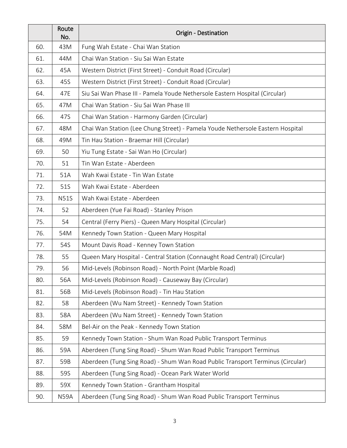|     | Route<br>No. | Origin - Destination                                                           |
|-----|--------------|--------------------------------------------------------------------------------|
| 60. | 43M          | Fung Wah Estate - Chai Wan Station                                             |
| 61. | 44M          | Chai Wan Station - Siu Sai Wan Estate                                          |
| 62. | 45A          | Western District (First Street) - Conduit Road (Circular)                      |
| 63. | 45S          | Western District (First Street) - Conduit Road (Circular)                      |
| 64. | 47E          | Siu Sai Wan Phase III - Pamela Youde Nethersole Eastern Hospital (Circular)    |
| 65. | 47M          | Chai Wan Station - Siu Sai Wan Phase III                                       |
| 66. | 47S          | Chai Wan Station - Harmony Garden (Circular)                                   |
| 67. | 48M          | Chai Wan Station (Lee Chung Street) - Pamela Youde Nethersole Eastern Hospital |
| 68. | 49M          | Tin Hau Station - Braemar Hill (Circular)                                      |
| 69. | 50           | Yiu Tung Estate - Sai Wan Ho (Circular)                                        |
| 70. | 51           | Tin Wan Estate - Aberdeen                                                      |
| 71. | 51A          | Wah Kwai Estate - Tin Wan Estate                                               |
| 72. | 51S          | Wah Kwai Estate - Aberdeen                                                     |
| 73. | <b>N51S</b>  | Wah Kwai Estate - Aberdeen                                                     |
| 74. | 52           | Aberdeen (Yue Fai Road) - Stanley Prison                                       |
| 75. | 54           | Central (Ferry Piers) - Queen Mary Hospital (Circular)                         |
| 76. | 54M          | Kennedy Town Station - Queen Mary Hospital                                     |
| 77. | 54S          | Mount Davis Road - Kenney Town Station                                         |
| 78. | 55           | Queen Mary Hospital - Central Station (Connaught Road Central) (Circular)      |
| 79. | 56           | Mid-Levels (Robinson Road) - North Point (Marble Road)                         |
| 80. | 56A          | Mid-Levels (Robinson Road) - Causeway Bay (Circular)                           |
| 81. | 56B          | Mid-Levels (Robinson Road) - Tin Hau Station                                   |
| 82. | 58           | Aberdeen (Wu Nam Street) - Kennedy Town Station                                |
| 83. | 58A          | Aberdeen (Wu Nam Street) - Kennedy Town Station                                |
| 84. | 58M          | Bel-Air on the Peak - Kennedy Town Station                                     |
| 85. | 59           | Kennedy Town Station - Shum Wan Road Public Transport Terminus                 |
| 86. | 59A          | Aberdeen (Tung Sing Road) - Shum Wan Road Public Transport Terminus            |
| 87. | 59B          | Aberdeen (Tung Sing Road) - Shum Wan Road Public Transport Terminus (Circular) |
| 88. | 59S          | Aberdeen (Tung Sing Road) - Ocean Park Water World                             |
| 89. | 59X          | Kennedy Town Station - Grantham Hospital                                       |
| 90. | <b>N59A</b>  | Aberdeen (Tung Sing Road) - Shum Wan Road Public Transport Terminus            |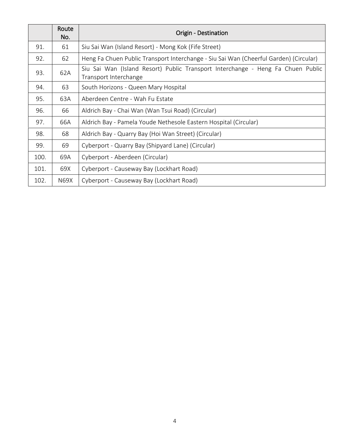|      | Route<br>No. | <b>Origin - Destination</b>                                                                              |
|------|--------------|----------------------------------------------------------------------------------------------------------|
| 91.  | 61           | Siu Sai Wan (Island Resort) - Mong Kok (Fife Street)                                                     |
| 92.  | 62           | Heng Fa Chuen Public Transport Interchange - Siu Sai Wan (Cheerful Garden) (Circular)                    |
| 93.  | 62A          | Siu Sai Wan (Island Resort) Public Transport Interchange - Heng Fa Chuen Public<br>Transport Interchange |
| 94.  | 63           | South Horizons - Queen Mary Hospital                                                                     |
| 95.  | 63A          | Aberdeen Centre - Wah Fu Estate                                                                          |
| 96.  | 66           | Aldrich Bay - Chai Wan (Wan Tsui Road) (Circular)                                                        |
| 97.  | 66A          | Aldrich Bay - Pamela Youde Nethesole Eastern Hospital (Circular)                                         |
| 98.  | 68           | Aldrich Bay - Quarry Bay (Hoi Wan Street) (Circular)                                                     |
| 99.  | 69           | Cyberport - Quarry Bay (Shipyard Lane) (Circular)                                                        |
| 100. | 69A          | Cyberport - Aberdeen (Circular)                                                                          |
| 101. | 69X          | Cyberport - Causeway Bay (Lockhart Road)                                                                 |
| 102. | N69X         | Cyberport - Causeway Bay (Lockhart Road)                                                                 |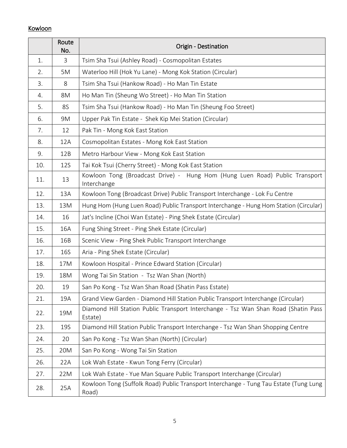## Kowloon

|     | Route<br>No. | Origin - Destination                                                                           |
|-----|--------------|------------------------------------------------------------------------------------------------|
| 1.  | 3            | Tsim Sha Tsui (Ashley Road) - Cosmopolitan Estates                                             |
| 2.  | 5M           | Waterloo Hill (Hok Yu Lane) - Mong Kok Station (Circular)                                      |
| 3.  | 8            | Tsim Sha Tsui (Hankow Road) - Ho Man Tin Estate                                                |
| 4.  | 8M           | Ho Man Tin (Sheung Wo Street) - Ho Man Tin Station                                             |
| 5.  | <b>8S</b>    | Tsim Sha Tsui (Hankow Road) - Ho Man Tin (Sheung Foo Street)                                   |
| 6.  | 9M           | Upper Pak Tin Estate - Shek Kip Mei Station (Circular)                                         |
| 7.  | 12           | Pak Tin - Mong Kok East Station                                                                |
| 8.  | 12A          | Cosmopolitan Estates - Mong Kok East Station                                                   |
| 9.  | 12B          | Metro Harbour View - Mong Kok East Station                                                     |
| 10. | <b>12S</b>   | Tai Kok Tsui (Cherry Street) - Mong Kok East Station                                           |
| 11. | 13           | Kowloon Tong (Broadcast Drive) - Hung Hom (Hung Luen Road) Public Transport<br>Interchange     |
| 12. | 13A          | Kowloon Tong (Broadcast Drive) Public Transport Interchange - Lok Fu Centre                    |
| 13. | 13M          | Hung Hom (Hung Luen Road) Public Transport Interchange - Hung Hom Station (Circular)           |
| 14. | 16           | Jat's Incline (Choi Wan Estate) - Ping Shek Estate (Circular)                                  |
| 15. | 16A          | Fung Shing Street - Ping Shek Estate (Circular)                                                |
| 16. | 16B          | Scenic View - Ping Shek Public Transport Interchange                                           |
| 17. | 16S          | Aria - Ping Shek Estate (Circular)                                                             |
| 18. | 17M          | Kowloon Hospital - Prince Edward Station (Circular)                                            |
| 19. | 18M          | Wong Tai Sin Station - Tsz Wan Shan (North)                                                    |
| 20. | 19           | San Po Kong - Tsz Wan Shan Road (Shatin Pass Estate)                                           |
| 21. | 19A          | Grand View Garden - Diamond Hill Station Public Transport Interchange (Circular)               |
| 22. | 19M          | Diamond Hill Station Public Transport Interchange - Tsz Wan Shan Road (Shatin Pass<br>Estate)  |
| 23. | <b>19S</b>   | Diamond Hill Station Public Transport Interchange - Tsz Wan Shan Shopping Centre               |
| 24. | 20           | San Po Kong - Tsz Wan Shan (North) (Circular)                                                  |
| 25. | 20M          | San Po Kong - Wong Tai Sin Station                                                             |
| 26. | 22A          | Lok Wah Estate - Kwun Tong Ferry (Circular)                                                    |
| 27. | 22M          | Lok Wah Estate - Yue Man Square Public Transport Interchange (Circular)                        |
| 28. | 25A          | Kowloon Tong (Suffolk Road) Public Transport Interchange - Tung Tau Estate (Tung Lung<br>Road) |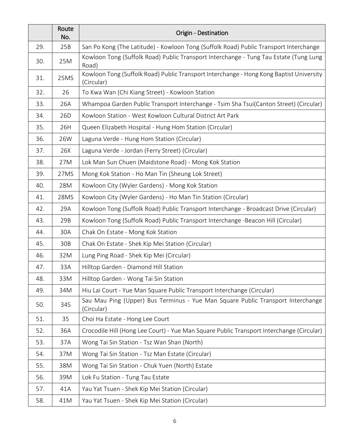|     | Route<br>No.    | Origin - Destination                                                                                  |
|-----|-----------------|-------------------------------------------------------------------------------------------------------|
| 29. | 25B             | San Po Kong (The Latitude) - Kowloon Tong (Suffolk Road) Public Transport Interchange                 |
| 30. | 25M             | Kowloon Tong (Suffolk Road) Public Transport Interchange - Tung Tau Estate (Tung Lung<br>Road)        |
| 31. | 25MS            | Kowloon Tong (Suffolk Road) Public Transport Interchange - Hong Kong Baptist University<br>(Circular) |
| 32. | 26              | To Kwa Wan (Chi Kiang Street) - Kowloon Station                                                       |
| 33. | 26A             | Whampoa Garden Public Transport Interchange - Tsim Sha Tsui(Canton Street) (Circular)                 |
| 34. | 26 <sub>D</sub> | Kowloon Station - West Kowloon Cultural District Art Park                                             |
| 35. | 26H             | Queen Elizabeth Hospital - Hung Hom Station (Circular)                                                |
| 36. | 26W             | Laguna Verde - Hung Hom Station (Circular)                                                            |
| 37. | 26X             | Laguna Verde - Jordan (Ferry Street) (Circular)                                                       |
| 38. | 27M             | Lok Man Sun Chuen (Maidstone Road) - Mong Kok Station                                                 |
| 39. | 27MS            | Mong Kok Station - Ho Man Tin (Sheung Lok Street)                                                     |
| 40. | 28M             | Kowloon City (Wyler Gardens) - Mong Kok Station                                                       |
| 41. | 28MS            | Kowloon City (Wyler Gardens) - Ho Man Tin Station (Circular)                                          |
| 42. | 29A             | Kowloon Tong (Suffolk Road) Public Transport Interchange - Broadcast Drive (Circular)                 |
| 43. | 29B             | Kowloon Tong (Suffolk Road) Public Transport Interchange -Beacon Hill (Circular)                      |
| 44. | 30A             | Chak On Estate - Mong Kok Station                                                                     |
| 45. | 30B             | Chak On Estate - Shek Kip Mei Station (Circular)                                                      |
| 46. | 32M             | Lung Ping Road - Shek Kip Mei (Circular)                                                              |
| 47. | 33A             | Hilltop Garden - Diamond Hill Station                                                                 |
| 48. | 33M             | Hilltop Garden - Wong Tai Sin Station                                                                 |
| 49. | 34M             | Hiu Lai Court - Yue Man Square Public Transport Interchange (Circular)                                |
| 50. | 34S             | Sau Mau Ping (Upper) Bus Terminus - Yue Man Square Public Transport Interchange<br>(Circular)         |
| 51. | 35              | Choi Ha Estate - Hong Lee Court                                                                       |
| 52. | 36A             | Crocodile Hill (Hong Lee Court) - Yue Man Square Public Transport Interchange (Circular)              |
| 53. | 37A             | Wong Tai Sin Station - Tsz Wan Shan (North)                                                           |
| 54. | 37M             | Wong Tai Sin Station - Tsz Man Estate (Circular)                                                      |
| 55. | 38M             | Wong Tai Sin Station - Chuk Yuen (North) Estate                                                       |
| 56. | 39M             | Lok Fu Station - Tung Tau Estate                                                                      |
| 57. | 41A             | Yau Yat Tsuen - Shek Kip Mei Station (Circular)                                                       |
| 58. | 41M             | Yau Yat Tsuen - Shek Kip Mei Station (Circular)                                                       |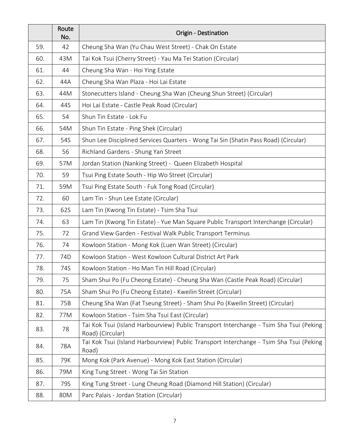|     | Route<br>No. | Origin - Destination                                                                                       |
|-----|--------------|------------------------------------------------------------------------------------------------------------|
| 59. | 42           | Cheung Sha Wan (Yu Chau West Street) - Chak On Estate                                                      |
| 60. | 43M          | Tai Kok Tsui (Cherry Street) - Yau Ma Tei Station (Circular)                                               |
| 61. | 44           | Cheung Sha Wan - Hoi Ying Estate                                                                           |
| 62. | 44A          | Cheung Sha Wan Plaza - Hoi Lai Estate                                                                      |
| 63. | 44M          | Stonecutters Island - Cheung Sha Wan (Cheung Shun Street) (Circular)                                       |
| 64. | 44S          | Hoi Lai Estate - Castle Peak Road (Circular)                                                               |
| 65. | 54           | Shun Tin Estate - Lok Fu                                                                                   |
| 66. | 54M          | Shun Tin Estate - Ping Shek (Circular)                                                                     |
| 67. | 54S          | Shun Lee Disciplined Services Quarters - Wong Tai Sin (Shatin Pass Road) (Circular)                        |
| 68. | 56           | Richland Gardens - Shung Yan Street                                                                        |
| 69. | 57M          | Jordan Station (Nanking Street) - Queen Elizabeth Hospital                                                 |
| 70. | 59           | Tsui Ping Estate South - Hip Wo Street (Circular)                                                          |
| 71. | 59M          | Tsui Ping Estate South - Fuk Tong Road (Circular)                                                          |
| 72. | 60           | Lam Tin - Shun Lee Estate (Circular)                                                                       |
| 73. | 62S          | Lam Tin (Kwong Tin Estate) - Tsim Sha Tsui                                                                 |
| 74. | 63           | Lam Tin (Kwong Tin Estate) - Yue Man Square Public Transport Interchange (Circular)                        |
| 75. | 72           | Grand View Garden - Festival Walk Public Transport Terminus                                                |
| 76. | 74           | Kowloon Station - Mong Kok (Luen Wan Street) (Circular)                                                    |
| 77. | 74D          | Kowloon Station - West Kowloon Cultural District Art Park                                                  |
| 78. | 74S          | Kowloon Station - Ho Man Tin Hill Road (Circular)                                                          |
| 79. | 75           | Sham Shui Po (Fu Cheong Estate) - Cheung Sha Wan (Castle Peak Road) (Circular)                             |
| 80. | 75A          | Sham Shui Po (Fu Cheong Estate) - Kweilin Street (Circular)                                                |
| 81. | 75B          | Cheung Sha Wan (Fat Tseung Street) - Sham Shui Po (Kweilin Street) (Circular)                              |
| 82. | 77M          | Kowloon Station - Tsim Sha Tsui East (Circular)                                                            |
| 83. | 78           | Tai Kok Tsui (Island Harbourview) Public Transport Interchange - Tsim Sha Tsui (Peking<br>Road) (Circular) |
| 84. | 78A          | Tai Kok Tsui (Island Harbourview) Public Transport Interchange - Tsim Sha Tsui (Peking<br>Road)            |
| 85. | 79K          | Mong Kok (Park Avenue) - Mong Kok East Station (Circular)                                                  |
| 86. | 79M          | King Tung Street - Wong Tai Sin Station                                                                    |
| 87. | 79S          | King Tung Street - Lung Cheung Road (Diamond Hill Station) (Circular)                                      |
| 88. | 80M          | Parc Palais - Jordan Station (Circular)                                                                    |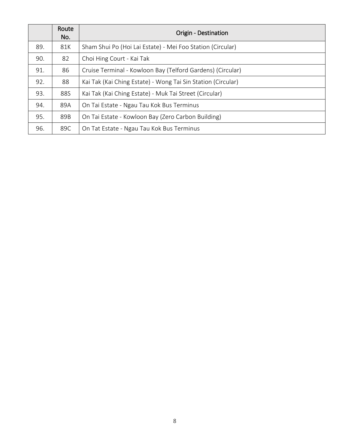|     | Route<br>No. | <b>Origin - Destination</b>                                  |
|-----|--------------|--------------------------------------------------------------|
| 89. | 81K          | Sham Shui Po (Hoi Lai Estate) - Mei Foo Station (Circular)   |
| 90. | 82           | Choi Hing Court - Kai Tak                                    |
| 91. | 86           | Cruise Terminal - Kowloon Bay (Telford Gardens) (Circular)   |
| 92. | 88           | Kai Tak (Kai Ching Estate) - Wong Tai Sin Station (Circular) |
| 93. | 88S          | Kai Tak (Kai Ching Estate) - Muk Tai Street (Circular)       |
| 94. | 89A          | On Tai Estate - Ngau Tau Kok Bus Terminus                    |
| 95. | 89B          | On Tai Estate - Kowloon Bay (Zero Carbon Building)           |
| 96. | 89C          | On Tat Estate - Ngau Tau Kok Bus Terminus                    |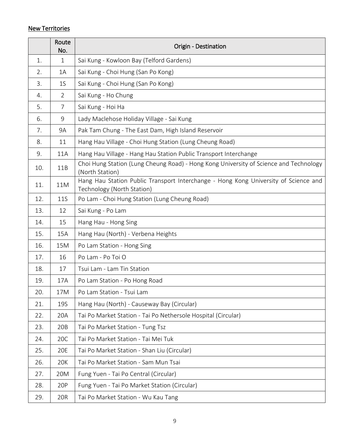## New Territories

|     | Route<br>No.   | Origin - Destination                                                                                              |
|-----|----------------|-------------------------------------------------------------------------------------------------------------------|
| 1.  | $\mathbf{1}$   | Sai Kung - Kowloon Bay (Telford Gardens)                                                                          |
| 2.  | 1A             | Sai Kung - Choi Hung (San Po Kong)                                                                                |
| 3.  | 1 <sup>S</sup> | Sai Kung - Choi Hung (San Po Kong)                                                                                |
| 4.  | $\overline{2}$ | Sai Kung - Ho Chung                                                                                               |
| 5.  | $\overline{7}$ | Sai Kung - Hoi Ha                                                                                                 |
| 6.  | 9              | Lady Maclehose Holiday Village - Sai Kung                                                                         |
| 7.  | 9A             | Pak Tam Chung - The East Dam, High Island Reservoir                                                               |
| 8.  | 11             | Hang Hau Village - Choi Hung Station (Lung Cheung Road)                                                           |
| 9.  | 11A            | Hang Hau Village - Hang Hau Station Public Transport Interchange                                                  |
| 10. | 11B            | Choi Hung Station (Lung Cheung Road) - Hong Kong University of Science and Technology<br>(North Station)          |
| 11. | 11M            | Hang Hau Station Public Transport Interchange - Hong Kong University of Science and<br>Technology (North Station) |
| 12. | <b>11S</b>     | Po Lam - Choi Hung Station (Lung Cheung Road)                                                                     |
| 13. | 12             | Sai Kung - Po Lam                                                                                                 |
| 14. | 15             | Hang Hau - Hong Sing                                                                                              |
| 15. | 15A            | Hang Hau (North) - Verbena Heights                                                                                |
| 16. | 15M            | Po Lam Station - Hong Sing                                                                                        |
| 17. | 16             | Po Lam - Po Toi O                                                                                                 |
| 18. | 17             | Tsui Lam - Lam Tin Station                                                                                        |
| 19. | 17A            | Po Lam Station - Po Hong Road                                                                                     |
| 20. | 17M            | Po Lam Station - Tsui Lam                                                                                         |
| 21. | <b>19S</b>     | Hang Hau (North) - Causeway Bay (Circular)                                                                        |
| 22. | 20A            | Tai Po Market Station - Tai Po Nethersole Hospital (Circular)                                                     |
| 23. | 20B            | Tai Po Market Station - Tung Tsz                                                                                  |
| 24. | 20C            | Tai Po Market Station - Tai Mei Tuk                                                                               |
| 25. | 20E            | Tai Po Market Station - Shan Liu (Circular)                                                                       |
| 26. | 20K            | Tai Po Market Station - Sam Mun Tsai                                                                              |
| 27. | 20M            | Fung Yuen - Tai Po Central (Circular)                                                                             |
| 28. | 20P            | Fung Yuen - Tai Po Market Station (Circular)                                                                      |
| 29. | 20R            | Tai Po Market Station - Wu Kau Tang                                                                               |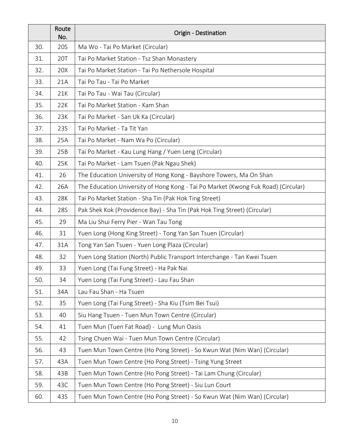|     | Route<br>No. | Origin - Destination                                                              |
|-----|--------------|-----------------------------------------------------------------------------------|
| 30. | 20S          | Ma Wo - Tai Po Market (Circular)                                                  |
| 31. | 20T          | Tai Po Market Station - Tsz Shan Monastery                                        |
| 32. | 20X          | Tai Po Market Station - Tai Po Nethersole Hospital                                |
| 33. | 21A          | Tai Po Tau - Tai Po Market                                                        |
| 34. | 21K          | Tai Po Tau - Wai Tau (Circular)                                                   |
| 35. | 22K          | Tai Po Market Station - Kam Shan                                                  |
| 36. | 23K          | Tai Po Market - San Uk Ka (Circular)                                              |
| 37. | 23S          | Tai Po Market - Ta Tit Yan                                                        |
| 38. | 25A          | Tai Po Market - Nam Wa Po (Circular)                                              |
| 39. | 25B          | Tai Po Market - Kau Lung Hang / Yuen Leng (Circular)                              |
| 40. | 25K          | Tai Po Market - Lam Tsuen (Pak Ngau Shek)                                         |
| 41. | 26           | The Education University of Hong Kong - Bayshore Towers, Ma On Shan               |
| 42. | 26A          | The Education University of Hong Kong - Tai Po Market (Kwong Fuk Road) (Circular) |
| 43. | 28K          | Tai Po Market Station - Sha Tin (Pak Hok Ting Street)                             |
| 44. | 28S          | Pak Shek Kok (Providence Bay) - Sha Tin (Pak Hok Ting Street) (Circular)          |
| 45. | 29           | Ma Liu Shui Ferry Pier - Wan Tau Tong                                             |
| 46. | 31           | Yuen Long (Hong King Street) - Tong Yan San Tsuen (Circular)                      |
| 47. | 31A          | Tong Yan San Tsuen - Yuen Long Plaza (Circular)                                   |
| 48. | 32           | Yuen Long Station (North) Public Transport Interchange - Tan Kwei Tsuen           |
| 49. | 33           | Yuen Long (Tai Fung Street) - Ha Pak Nai                                          |
| 50. | 34           | Yuen Long (Tai Fung Street) - Lau Fau Shan                                        |
| 51. | 34A          | Lau Fau Shan - Ha Tsuen                                                           |
| 52. | 35           | Yuen Long (Tai Fung Street) - Sha Kiu (Tsim Bei Tsui)                             |
| 53. | 40           | Siu Hang Tsuen - Tuen Mun Town Centre (Circular)                                  |
| 54. | 41           | Tuen Mun (Tuen Fat Road) - Lung Mun Oasis                                         |
| 55. | 42           | Tsing Chuen Wai - Tuen Mun Town Centre (Circular)                                 |
| 56. | 43           | Tuen Mun Town Centre (Ho Pong Street) - So Kwun Wat (Nim Wan) (Circular)          |
| 57. | 43A          | Tuen Mun Town Centre (Ho Pong Street) - Tsing Yung Street                         |
| 58. | 43B          | Tuen Mun Town Centre (Ho Pong Street) - Tai Lam Chung (Circular)                  |
| 59. | 43C          | Tuen Mun Town Centre (Ho Pong Street) - Siu Lun Court                             |
| 60. | 43S          | Tuen Mun Town Centre (Ho Pong Street) - So Kwun Wat (Nim Wan) (Circular)          |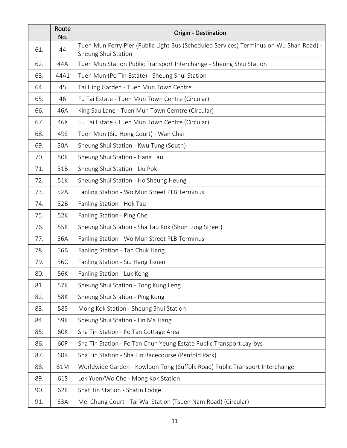|     | Route<br>No. | Origin - Destination                                                                                          |
|-----|--------------|---------------------------------------------------------------------------------------------------------------|
| 61. | 44           | Tuen Mun Ferry Pier (Public Light Bus (Scheduled Services) Terminus on Wu Shan Road) -<br>Sheung Shui Station |
| 62. | 44A          | Tuen Mun Station Public Transport Interchange - Sheung Shui Station                                           |
| 63. | 44A1         | Tuen Mun (Po Tin Estate) - Sheung Shui Station                                                                |
| 64. | 45           | Tai Hing Garden - Tuen Mun Town Centre                                                                        |
| 65. | 46           | Fu Tai Estate - Tuen Mun Town Centre (Circular)                                                               |
| 66. | 46A          | King Sau Lane - Tuen Mun Town Cemtre (Circular)                                                               |
| 67. | 46X          | Fu Tai Estate - Tuen Mun Town Centre (Circular)                                                               |
| 68. | 49S          | Tuen Mun (Siu Hong Court) - Wan Chai                                                                          |
| 69. | 50A          | Sheung Shui Station - Kwu Tung (South)                                                                        |
| 70. | 50K          | Sheung Shui Station - Hang Tau                                                                                |
| 71. | 51B          | Sheung Shui Station - Liu Pok                                                                                 |
| 72. | 51K          | Sheung Shui Station - Ho Sheung Heung                                                                         |
| 73. | 52A          | Fanling Station - Wo Mun Street PLB Terminus                                                                  |
| 74. | 52B          | Fanling Station - Hok Tau                                                                                     |
| 75. | 52K          | Fanling Station - Ping Che                                                                                    |
| 76. | 55K          | Sheung Shui Station - Sha Tau Kok (Shun Lung Street)                                                          |
| 77. | 56A          | Fanling Station - Wo Mun Street PLB Terminus                                                                  |
| 78. | 56B          | Fanling Station - Tan Chuk Hang                                                                               |
| 79. | 56C          | Fanling Station - Siu Hang Tsuen                                                                              |
| 80. | 56K          | Fanling Station - Luk Keng                                                                                    |
| 81. | 57K          | Sheung Shui Station - Tong Kung Leng                                                                          |
| 82. | 58K          | Sheung Shui Station - Ping Kong                                                                               |
| 83. | 58S          | Mong Kok Station - Sheung Shui Station                                                                        |
| 84. | 59K          | Sheung Shui Station - Lin Ma Hang                                                                             |
| 85. | 60K          | Sha Tin Station - Fo Tan Cottage Area                                                                         |
| 86. | 60P          | Sha Tin Station - Fo Tan Chun Yeung Estate Public Transport Lay-bys                                           |
| 87. | 60R          | Sha Tin Station - Sha Tin Racecourse (Penfold Park)                                                           |
| 88. | 61M          | Worldwide Garden - Kowloon Tong (Suffolk Road) Public Transport Interchange                                   |
| 89. | 61S          | Lek Yuen/Wo Che - Mong Kok Station                                                                            |
| 90. | 62K          | Shat Tin Station - Shatin Lodge                                                                               |
| 91. | 63A          | Mei Chung Court - Tai Wai Station (Tsuen Nam Road) (Circular)                                                 |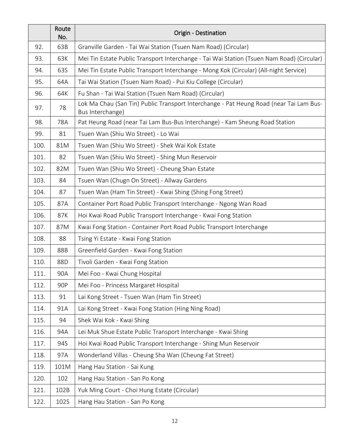|      | Route<br>No. | Origin - Destination                                                                                       |
|------|--------------|------------------------------------------------------------------------------------------------------------|
| 92.  | 63B          | Granville Garden - Tai Wai Station (Tsuen Nam Road) (Circular)                                             |
| 93.  | 63K          | Mei Tin Estate Public Transport Interchange - Tai Wai Station (Tsuen Nam Road) (Circular)                  |
| 94.  | 63S          | Mei Tin Estate Public Transport Interchange - Mong Kok (Circular) (All-night Service)                      |
| 95.  | 64A          | Tai Wai Station (Tsuen Nam Road) - Pui Kiu College (Circular)                                              |
| 96.  | 64K          | Fu Shan - Tai Wai Station (Tsuen Nam Road) (Circular)                                                      |
| 97.  | 78           | Lok Ma Chau (San Tin) Public Transport Interchange - Pat Heung Road (near Tai Lam Bus-<br>Bus Interchange) |
| 98.  | 78A          | Pat Heung Road (near Tai Lam Bus-Bus Interchange) - Kam Sheung Road Station                                |
| 99.  | 81           | Tsuen Wan (Shiu Wo Street) - Lo Wai                                                                        |
| 100. | 81M          | Tsuen Wan (Shiu Wo Street) - Shek Wai Kok Estate                                                           |
| 101. | 82           | Tsuen Wan (Shiu Wo Street) - Shing Mun Reservoir                                                           |
| 102. | 82M          | Tsuen Wan (Shiu Wo Street) - Cheung Shan Estate                                                            |
| 103. | 84           | Tsuen Wan (Chugn On Street) - Allway Gardens                                                               |
| 104. | 87           | Tsuen Wan (Ham Tin Street) - Kwai Shing (Shing Fong Street)                                                |
| 105. | 87A          | Container Port Road Public Transport Interchange - Ngong Wan Road                                          |
| 106. | 87K          | Hoi Kwai Road Public Transport Interchange - Kwai Fong Station                                             |
| 107. | 87M          | Kwai Fong Station - Container Port Road Public Transport Interchange                                       |
| 108. | 88           | Tsing Yi Estate - Kwai Fong Station                                                                        |
| 109. | 88B          | Greenfield Garden - Kwai Fong Station                                                                      |
| 110. | 88D          | Tivoli Garden - Kwai Fong Station                                                                          |
| 111. | 90A          | Mei Foo - Kwai Chung Hospital                                                                              |
| 112. | 90P          | Mei Foo - Princess Margaret Hospital                                                                       |
| 113. | 91           | Lai Kong Street - Tsuen Wan (Ham Tin Street)                                                               |
| 114. | 91A          | Lai Kong Street - Kwai Fong Station (Hing Ning Road)                                                       |
| 115. | 94           | Shek Wai Kok - Kwai Shing                                                                                  |
| 116. | 94A          | Lei Muk Shue Estate Public Transport Interchange - Kwai Shing                                              |
| 117. | 94S          | Hoi Kwai Road Public Transport Interchange - Shing Mun Reservoir                                           |
| 118. | 97A          | Wonderland Villas - Cheung Sha Wan (Cheung Fat Street)                                                     |
| 119. | 101M         | Hang Hau Station - Sai Kung                                                                                |
| 120. | 102          | Hang Hau Station - San Po Kong                                                                             |
| 121. | 102B         | Yuk Ming Court - Choi Hung Estate (Circular)                                                               |
| 122. | 102S         | Hang Hau Station - San Po Kong                                                                             |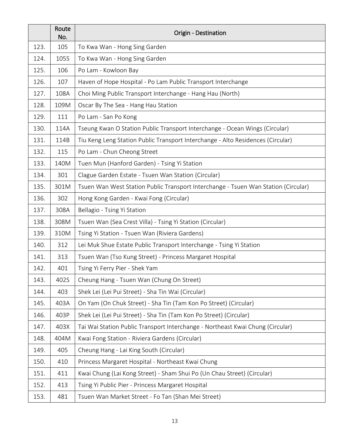|      | Route<br>No. | Origin - Destination                                                               |
|------|--------------|------------------------------------------------------------------------------------|
| 123. | 105          | To Kwa Wan - Hong Sing Garden                                                      |
| 124. | 105S         | To Kwa Wan - Hong Sing Garden                                                      |
| 125. | 106          | Po Lam - Kowloon Bay                                                               |
| 126. | 107          | Haven of Hope Hospital - Po Lam Public Transport Interchange                       |
| 127. | 108A         | Choi Ming Public Transport Interchange - Hang Hau (North)                          |
| 128. | 109M         | Oscar By The Sea - Hang Hau Station                                                |
| 129. | 111          | Po Lam - San Po Kong                                                               |
| 130. | 114A         | Tseung Kwan O Station Public Transport Interchange - Ocean Wings (Circular)        |
| 131. | 114B         | Tiu Keng Leng Station Public Transport Interchange - Alto Residences (Circular)    |
| 132. | 115          | Po Lam - Chun Cheong Street                                                        |
| 133. | 140M         | Tuen Mun (Hanford Garden) - Tsing Yi Station                                       |
| 134. | 301          | Clague Garden Estate - Tsuen Wan Station (Circular)                                |
| 135. | 301M         | Tsuen Wan West Station Public Transport Interchange - Tsuen Wan Station (Circular) |
| 136. | 302          | Hong Kong Garden - Kwai Fong (Circular)                                            |
| 137. | 308A         | Bellagio - Tsing Yi Station                                                        |
| 138. | 308M         | Tsuen Wan (Sea Crest Villa) - Tsing Yi Station (Circular)                          |
| 139. | 310M         | Tsing Yi Station - Tsuen Wan (Riviera Gardens)                                     |
| 140. | 312          | Lei Muk Shue Estate Public Transport Interchange - Tsing Yi Station                |
| 141. | 313          | Tsuen Wan (Tso Kung Street) - Princess Margaret Hospital                           |
| 142. | 401          | Tsing Yi Ferry Pier - Shek Yam                                                     |
| 143. | 402S         | Cheung Hang - Tsuen Wan (Chung On Street)                                          |
| 144. | 403          | Shek Lei (Lei Pui Street) - Sha Tin Wai (Circular)                                 |
| 145. | 403A         | On Yam (On Chuk Street) - Sha Tin (Tam Kon Po Street) (Circular)                   |
| 146. | 403P         | Shek Lei (Lei Pui Street) - Sha Tin (Tam Kon Po Street) (Circular)                 |
| 147. | 403X         | Tai Wai Station Public Transport Interchange - Northeast Kwai Chung (Circular)     |
| 148. | 404M         | Kwai Fong Station - Riviera Gardens (Circular)                                     |
| 149. | 405          | Cheung Hang - Lai King South (Circular)                                            |
| 150. | 410          | Princess Margaret Hospital - Northeast Kwai Chung                                  |
| 151. | 411          | Kwai Chung (Lai Kong Street) - Sham Shui Po (Un Chau Street) (Circular)            |
| 152. | 413          | Tsing Yi Public Pier - Princess Margaret Hospital                                  |
| 153. | 481          | Tsuen Wan Market Street - Fo Tan (Shan Mei Street)                                 |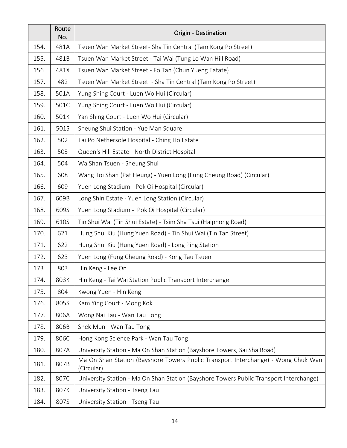|      | Route<br>No. | Origin - Destination                                                                            |
|------|--------------|-------------------------------------------------------------------------------------------------|
| 154. | 481A         | Tsuen Wan Market Street- Sha Tin Central (Tam Kong Po Street)                                   |
| 155. | 481B         | Tsuen Wan Market Street - Tai Wai (Tung Lo Wan Hill Road)                                       |
| 156. | 481X         | Tsuen Wan Market Street - Fo Tan (Chun Yueng Eatate)                                            |
| 157. | 482          | Tsuen Wan Market Street - Sha Tin Central (Tam Kong Po Street)                                  |
| 158. | 501A         | Yung Shing Court - Luen Wo Hui (Circular)                                                       |
| 159. | 501C         | Yung Shing Court - Luen Wo Hui (Circular)                                                       |
| 160. | 501K         | Yan Shing Court - Luen Wo Hui (Circular)                                                        |
| 161. | 501S         | Sheung Shui Station - Yue Man Square                                                            |
| 162. | 502          | Tai Po Nethersole Hospital - Ching Ho Estate                                                    |
| 163. | 503          | Queen's Hill Estate - North District Hospital                                                   |
| 164. | 504          | Wa Shan Tsuen - Sheung Shui                                                                     |
| 165. | 608          | Wang Toi Shan (Pat Heung) - Yuen Long (Fung Cheung Road) (Circular)                             |
| 166. | 609          | Yuen Long Stadium - Pok Oi Hospital (Circular)                                                  |
| 167. | 609B         | Long Shin Estate - Yuen Long Station (Circular)                                                 |
| 168. | 609S         | Yuen Long Stadium - Pok Oi Hospital (Circular)                                                  |
| 169. | 610S         | Tin Shui Wai (Tin Shui Estate) - Tsim Sha Tsui (Haiphong Road)                                  |
| 170. | 621          | Hung Shui Kiu (Hung Yuen Road) - Tin Shui Wai (Tin Tan Street)                                  |
| 171. | 622          | Hung Shui Kiu (Hung Yuen Road) - Long Ping Station                                              |
| 172. | 623          | Yuen Long (Fung Cheung Road) - Kong Tau Tsuen                                                   |
| 173. | 803          | Hin Keng - Lee On                                                                               |
| 174. | 803K         | Hin Keng - Tai Wai Station Public Transport Interchange                                         |
| 175. | 804          | Kwong Yuen - Hin Keng                                                                           |
| 176. | 805S         | Kam Ying Court - Mong Kok                                                                       |
| 177. | 806A         | Wong Nai Tau - Wan Tau Tong                                                                     |
| 178. | 806B         | Shek Mun - Wan Tau Tong                                                                         |
| 179. | 806C         | Hong Kong Science Park - Wan Tau Tong                                                           |
| 180. | 807A         | University Station - Ma On Shan Station (Bayshore Towers, Sai Sha Road)                         |
| 181. | 807B         | Ma On Shan Station (Bayshore Towers Public Transport Interchange) - Wong Chuk Wan<br>(Circular) |
| 182. | 807C         | University Station - Ma On Shan Station (Bayshore Towers Public Transport Interchange)          |
| 183. | 807K         | University Station - Tseng Tau                                                                  |
| 184. | 807S         | University Station - Tseng Tau                                                                  |